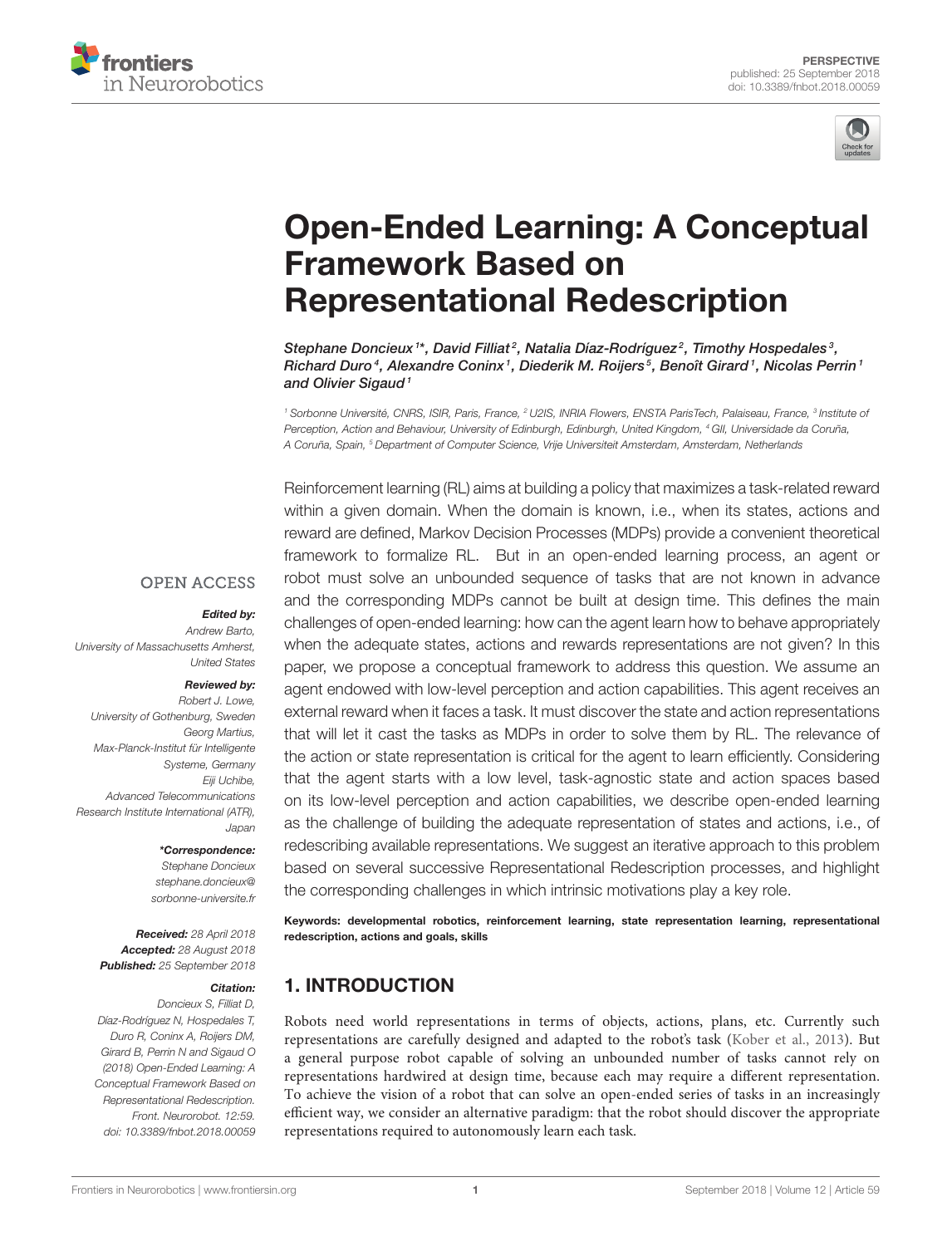



# [Open-Ended Learning: A Conceptual](https://www.frontiersin.org/articles/10.3389/fnbot.2018.00059/full) Framework Based on Representational Redescription

[Stephane Doncieux](http://loop.frontiersin.org/people/92837/overview) <sup>1\*</sup>, [David Filliat](http://loop.frontiersin.org/people/642/overview) <sup>2</sup>, [Natalia Díaz-Rodríguez](http://loop.frontiersin.org/people/486004/overview)  $^2$ , [Timothy Hospedales](http://loop.frontiersin.org/people/612721/overview)  $^3$ , Richard Duro<sup>4</sup>, [Alexandre Coninx](http://loop.frontiersin.org/people/544216/overview)<sup>1</sup>, [Diederik M. Roijers](http://loop.frontiersin.org/people/577402/overview)<sup>5</sup>, [Benoît Girard](http://loop.frontiersin.org/people/2369/overview)<sup>1</sup>, [Nicolas Perrin](http://loop.frontiersin.org/people/612525/overview)<sup>1</sup> and [Olivier Sigaud](http://loop.frontiersin.org/people/133231/overview)<sup>1</sup>

<sup>1</sup> Sorbonne Université, CNRS, ISIR, Paris, France, <sup>2</sup> U2IS, INRIA Flowers, ENSTA ParisTech, Palaiseau, France, <sup>3</sup> Institute oi Perception, Action and Behaviour, University of Edinburgh, Edinburgh, United Kingdom, <sup>4</sup> GII, Universidade da Coruña, A Coruña, Spain, <sup>5</sup> Department of Computer Science, Vrije Universiteit Amsterdam, Amsterdam, Netherlands

**OPEN ACCESS** 

#### Edited by:

Andrew Barto, University of Massachusetts Amherst, United States

#### Reviewed by:

Robert J. Lowe, University of Gothenburg, Sweden Georg Martius, Max-Planck-Institut für Intelligente Systeme, Germany Eiji Uchibe. Advanced Telecommunications Research Institute International (ATR), Japan

#### \*Correspondence:

Stephane Doncieux [stephane.doncieux@](mailto:stephane.doncieux@sorbonne-universite.fr) [sorbonne-universite.fr](mailto:stephane.doncieux@sorbonne-universite.fr)

Received: 28 April 2018 Accepted: 28 August 2018 Published: 25 September 2018

#### Citation:

Doncieux S, Filliat D, Díaz-Rodríguez N, Hospedales T, Duro R, Coninx A, Roijers DM, Girard B, Perrin N and Sigaud O (2018) Open-Ended Learning: A Conceptual Framework Based on Representational Redescription. Front. Neurorobot. 12:59. doi: [10.3389/fnbot.2018.00059](https://doi.org/10.3389/fnbot.2018.00059)

Reinforcement learning (RL) aims at building a policy that maximizes a task-related reward within a given domain. When the domain is known, i.e., when its states, actions and reward are defined, Markov Decision Processes (MDPs) provide a convenient theoretical framework to formalize RL. But in an open-ended learning process, an agent or robot must solve an unbounded sequence of tasks that are not known in advance and the corresponding MDPs cannot be built at design time. This defines the main challenges of open-ended learning: how can the agent learn how to behave appropriately when the adequate states, actions and rewards representations are not given? In this paper, we propose a conceptual framework to address this question. We assume an agent endowed with low-level perception and action capabilities. This agent receives an external reward when it faces a task. It must discover the state and action representations that will let it cast the tasks as MDPs in order to solve them by RL. The relevance of the action or state representation is critical for the agent to learn efficiently. Considering that the agent starts with a low level, task-agnostic state and action spaces based on its low-level perception and action capabilities, we describe open-ended learning as the challenge of building the adequate representation of states and actions, i.e., of redescribing available representations. We suggest an iterative approach to this problem based on several successive Representational Redescription processes, and highlight the corresponding challenges in which intrinsic motivations play a key role.

Keywords: developmental robotics, reinforcement learning, state representation learning, representational redescription, actions and goals, skills

# 1. INTRODUCTION

Robots need world representations in terms of objects, actions, plans, etc. Currently such representations are carefully designed and adapted to the robot's task [\(Kober et al., 2013\)](#page-5-0). But a general purpose robot capable of solving an unbounded number of tasks cannot rely on representations hardwired at design time, because each may require a different representation. To achieve the vision of a robot that can solve an open-ended series of tasks in an increasingly efficient way, we consider an alternative paradigm: that the robot should discover the appropriate representations required to autonomously learn each task.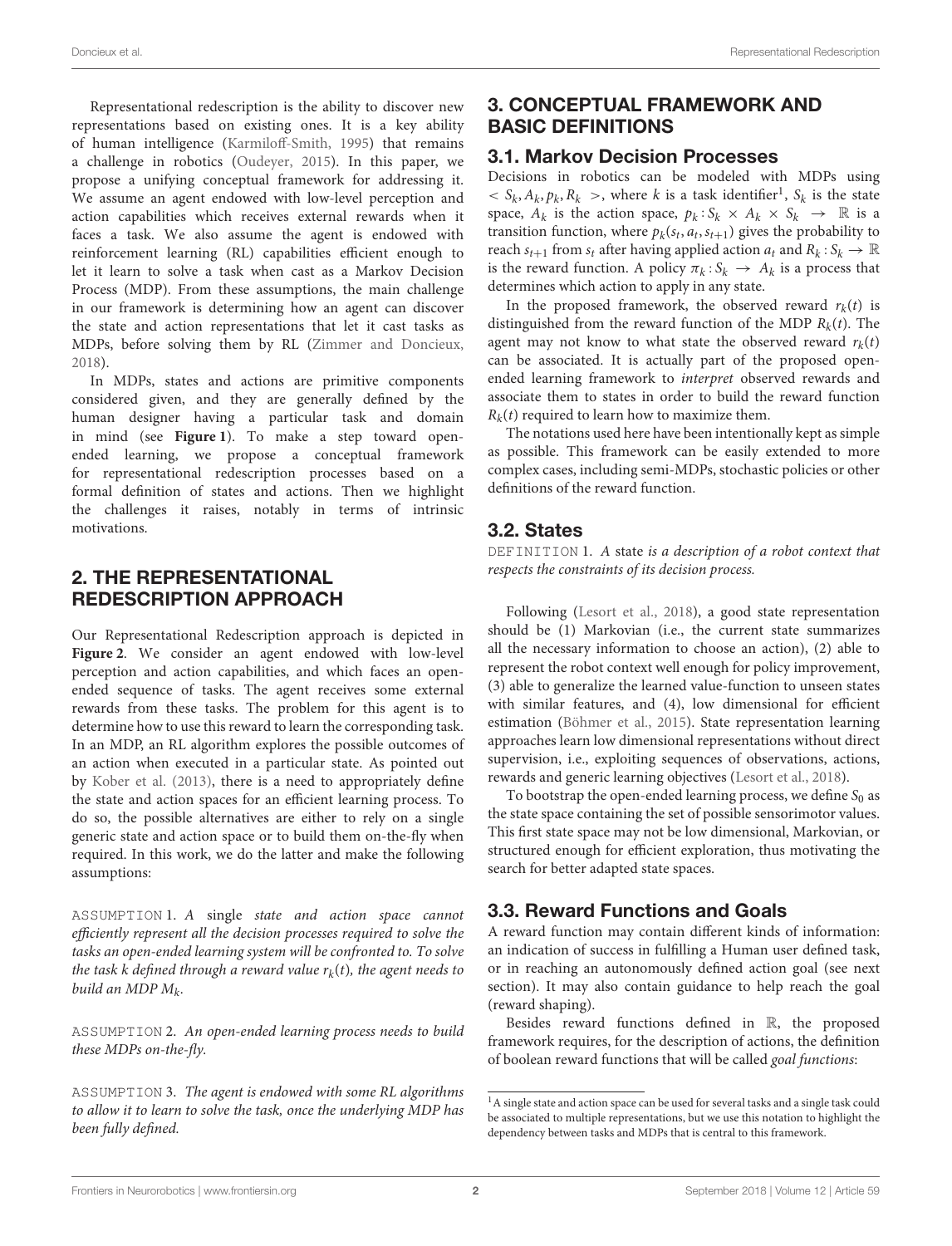Representational redescription is the ability to discover new representations based on existing ones. It is a key ability of human intelligence [\(Karmiloff-Smith, 1995\)](#page-5-1) that remains a challenge in robotics [\(Oudeyer, 2015\)](#page-5-2). In this paper, we propose a unifying conceptual framework for addressing it. We assume an agent endowed with low-level perception and action capabilities which receives external rewards when it faces a task. We also assume the agent is endowed with reinforcement learning (RL) capabilities efficient enough to let it learn to solve a task when cast as a Markov Decision Process (MDP). From these assumptions, the main challenge in our framework is determining how an agent can discover the state and action representations that let it cast tasks as MDPs, before solving them by RL [\(Zimmer and Doncieux,](#page-5-3) [2018\)](#page-5-3).

In MDPs, states and actions are primitive components considered given, and they are generally defined by the human designer having a particular task and domain in mind (see **[Figure 1](#page-2-0)**). To make a step toward openended learning, we propose a conceptual framework for representational redescription processes based on a formal definition of states and actions. Then we highlight the challenges it raises, notably in terms of intrinsic motivations.

## 2. THE REPRESENTATIONAL REDESCRIPTION APPROACH

Our Representational Redescription approach is depicted in **[Figure 2](#page-3-0)**. We consider an agent endowed with low-level perception and action capabilities, and which faces an openended sequence of tasks. The agent receives some external rewards from these tasks. The problem for this agent is to determine how to use this reward to learn the corresponding task. In an MDP, an RL algorithm explores the possible outcomes of an action when executed in a particular state. As pointed out by [Kober et al. \(2013\)](#page-5-0), there is a need to appropriately define the state and action spaces for an efficient learning process. To do so, the possible alternatives are either to rely on a single generic state and action space or to build them on-the-fly when required. In this work, we do the latter and make the following assumptions:

ASSUMPTION 1. A single state and action space cannot efficiently represent all the decision processes required to solve the tasks an open-ended learning system will be confronted to. To solve the task k defined through a reward value  $r_k(t)$ , the agent needs to build an MDP  $M_k$ .

ASSUMPTION 2. An open-ended learning process needs to build these MDPs on-the-fly.

ASSUMPTION 3. The agent is endowed with some RL algorithms to allow it to learn to solve the task, once the underlying MDP has been fully defined.

# 3. CONCEPTUAL FRAMEWORK AND BASIC DEFINITIONS

## 3.1. Markov Decision Processes

Decisions in robotics can be modeled with MDPs using  $\langle S_k, A_k, p_k, R_k \rangle$ , where k is a task identifier<sup>[1](#page-1-0)</sup>,  $S_k$  is the state space,  $A_k$  is the action space,  $p_k : S_k \times A_k \times S_k \rightarrow \mathbb{R}$  is a transition function, where  $p_k(s_t, a_t, s_{t+1})$  gives the probability to reach  $s_{t+1}$  from  $s_t$  after having applied action  $a_t$  and  $R_k: S_k \to \mathbb{R}$ is the reward function. A policy  $\pi_k : S_k \to A_k$  is a process that determines which action to apply in any state.

In the proposed framework, the observed reward  $r_k(t)$  is distinguished from the reward function of the MDP  $R_k(t)$ . The agent may not know to what state the observed reward  $r_k(t)$ can be associated. It is actually part of the proposed openended learning framework to interpret observed rewards and associate them to states in order to build the reward function  $R_k(t)$  required to learn how to maximize them.

The notations used here have been intentionally kept as simple as possible. This framework can be easily extended to more complex cases, including semi-MDPs, stochastic policies or other definitions of the reward function.

## 3.2. States

DEFINITION 1. A state is a description of a robot context that respects the constraints of its decision process.

Following [\(Lesort et al., 2018\)](#page-5-4), a good state representation should be (1) Markovian (i.e., the current state summarizes all the necessary information to choose an action), (2) able to represent the robot context well enough for policy improvement, (3) able to generalize the learned value-function to unseen states with similar features, and (4), low dimensional for efficient estimation [\(Böhmer et al., 2015\)](#page-5-5). State representation learning approaches learn low dimensional representations without direct supervision, i.e., exploiting sequences of observations, actions, rewards and generic learning objectives [\(Lesort et al., 2018\)](#page-5-4).

To bootstrap the open-ended learning process, we define  $S_0$  as the state space containing the set of possible sensorimotor values. This first state space may not be low dimensional, Markovian, or structured enough for efficient exploration, thus motivating the search for better adapted state spaces.

# 3.3. Reward Functions and Goals

A reward function may contain different kinds of information: an indication of success in fulfilling a Human user defined task, or in reaching an autonomously defined action goal (see next section). It may also contain guidance to help reach the goal (reward shaping).

Besides reward functions defined in R, the proposed framework requires, for the description of actions, the definition of boolean reward functions that will be called goal functions:

<span id="page-1-0"></span> $^{\rm 1}{\rm A}$  single state and action space can be used for several tasks and a single task could be associated to multiple representations, but we use this notation to highlight the dependency between tasks and MDPs that is central to this framework.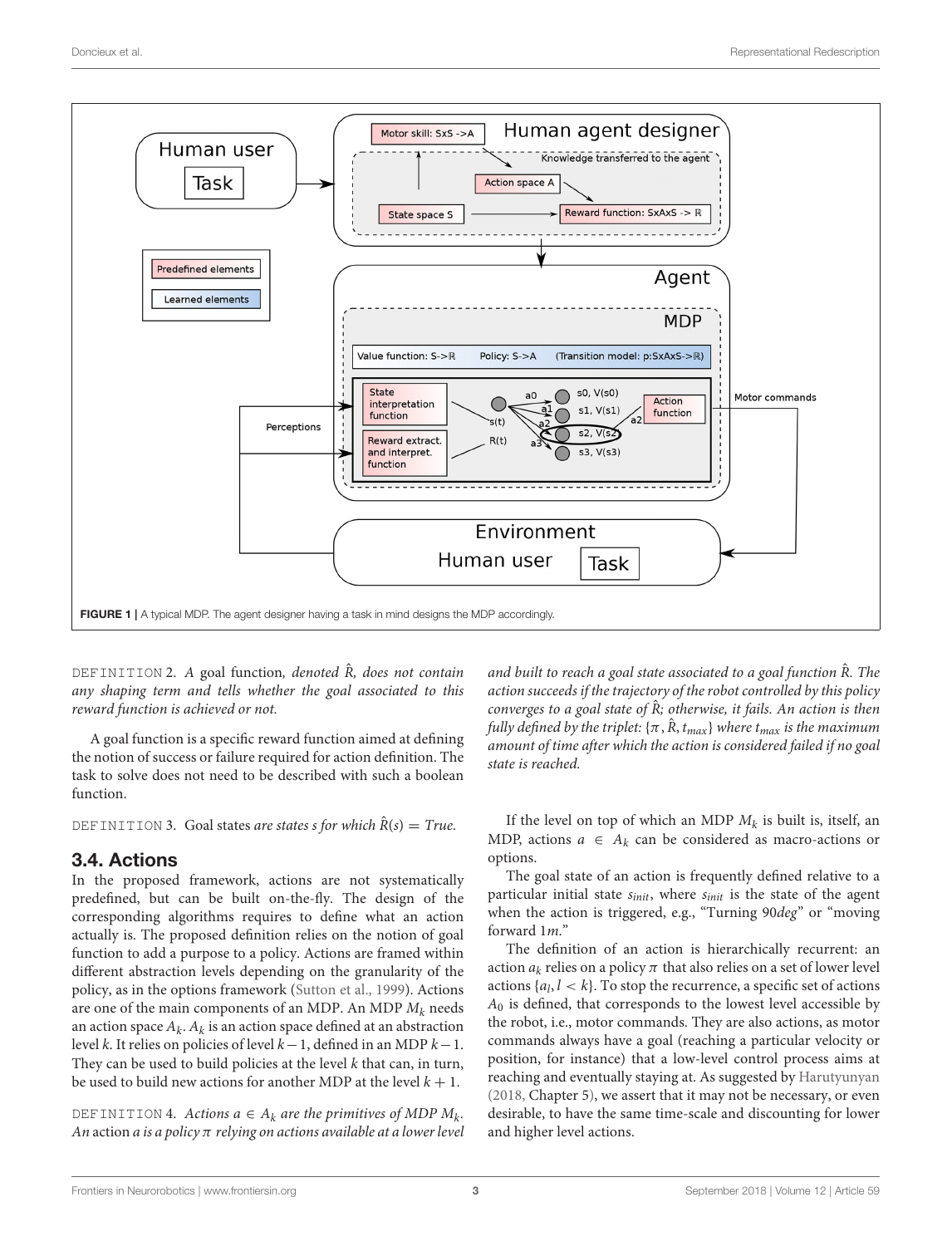

<span id="page-2-0"></span>DEFINITION 2. A goal function, denoted  $\hat{R}$ , does not contain any shaping term and tells whether the goal associated to this reward function is achieved or not.

A goal function is a specific reward function aimed at defining the notion of success or failure required for action definition. The task to solve does not need to be described with such a boolean function.

DEFINITION 3. Goal states are states s for which  $\hat{R}(s) = True$ .

#### 3.4. Actions

In the proposed framework, actions are not systematically predefined, but can be built on-the-fly. The design of the corresponding algorithms requires to define what an action actually is. The proposed definition relies on the notion of goal function to add a purpose to a policy. Actions are framed within different abstraction levels depending on the granularity of the policy, as in the options framework [\(Sutton et al., 1999\)](#page-5-6). Actions are one of the main components of an MDP. An MDP  $M_k$  needs an action space  $A_k$ .  $A_k$  is an action space defined at an abstraction level k. It relies on policies of level  $k-1$ , defined in an MDP  $k-1$ . They can be used to build policies at the level  $k$  that can, in turn, be used to build new actions for another MDP at the level  $k + 1$ .

DEFINITION 4. Actions  $a \in A_k$  are the primitives of MDP  $M_k$ . An action a is a policy  $\pi$  relying on actions available at a lower level

and built to reach a goal state associated to a goal function  $\hat{R}$ . The action succeeds if the trajectory of the robot controlled by this policy converges to a goal state of  $\hat{R}$ ; otherwise, it fails. An action is then fully defined by the triplet:  $\{\pi, \hat{R}, t_{max}\}$  where  $t_{max}$  is the maximum amount of time after which the action is considered failed if no goal state is reached.

If the level on top of which an MDP  $M_k$  is built is, itself, an MDP, actions  $a \in A_k$  can be considered as macro-actions or options.

The goal state of an action is frequently defined relative to a particular initial state  $s_{init}$ , where  $s_{init}$  is the state of the agent when the action is triggered, e.g., "Turning 90deg" or "moving forward 1m."

The definition of an action is hierarchically recurrent: an action  $a_k$  relies on a policy  $\pi$  that also relies on a set of lower level actions  $\{a_l, l < k\}$ . To stop the recurrence, a specific set of actions  $A_0$  is defined, that corresponds to the lowest level accessible by the robot, i.e., motor commands. They are also actions, as motor commands always have a goal (reaching a particular velocity or position, for instance) that a low-level control process aims at reaching and eventually staying at. As suggested by [Harutyunyan](#page-5-7) [\(2018,](#page-5-7) Chapter 5), we assert that it may not be necessary, or even desirable, to have the same time-scale and discounting for lower and higher level actions.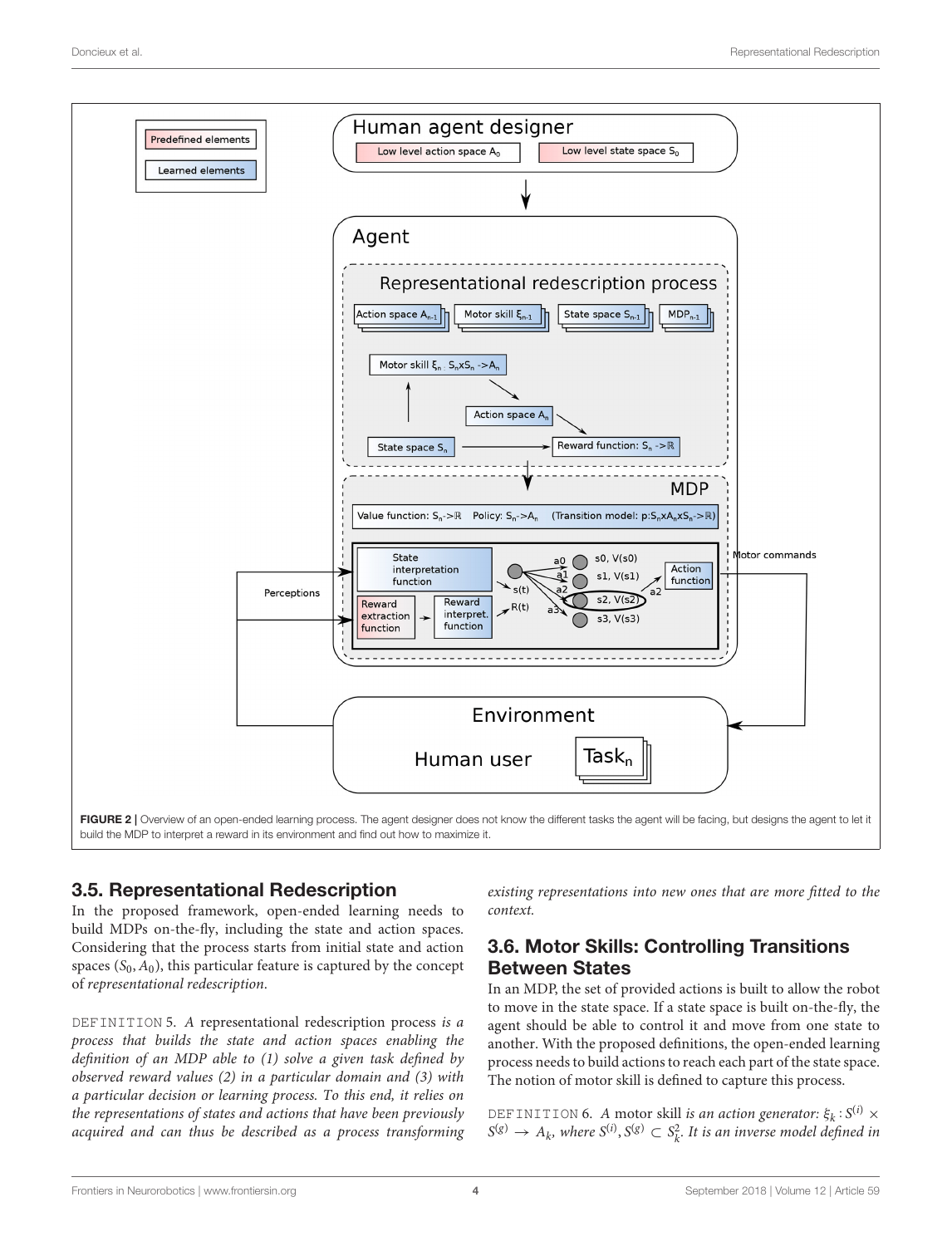

## <span id="page-3-0"></span>3.5. Representational Redescription

In the proposed framework, open-ended learning needs to build MDPs on-the-fly, including the state and action spaces. Considering that the process starts from initial state and action spaces  $(S_0, A_0)$ , this particular feature is captured by the concept of representational redescription.

DEFINITION 5. A representational redescription process is a process that builds the state and action spaces enabling the definition of an MDP able to (1) solve a given task defined by observed reward values (2) in a particular domain and (3) with a particular decision or learning process. To this end, it relies on the representations of states and actions that have been previously acquired and can thus be described as a process transforming existing representations into new ones that are more fitted to the context.

## 3.6. Motor Skills: Controlling Transitions Between States

In an MDP, the set of provided actions is built to allow the robot to move in the state space. If a state space is built on-the-fly, the agent should be able to control it and move from one state to another. With the proposed definitions, the open-ended learning process needs to build actions to reach each part of the state space. The notion of motor skill is defined to capture this process.

DEFINITION 6. A motor skill *is an action generator*:  $\xi_k$ :  $S^{(i)}$   $\times$  $S^{(g)} \to A_k$ , where  $S^{(i)}, S^{(g)} \subset S_k^2$ . It is an inverse model defined in